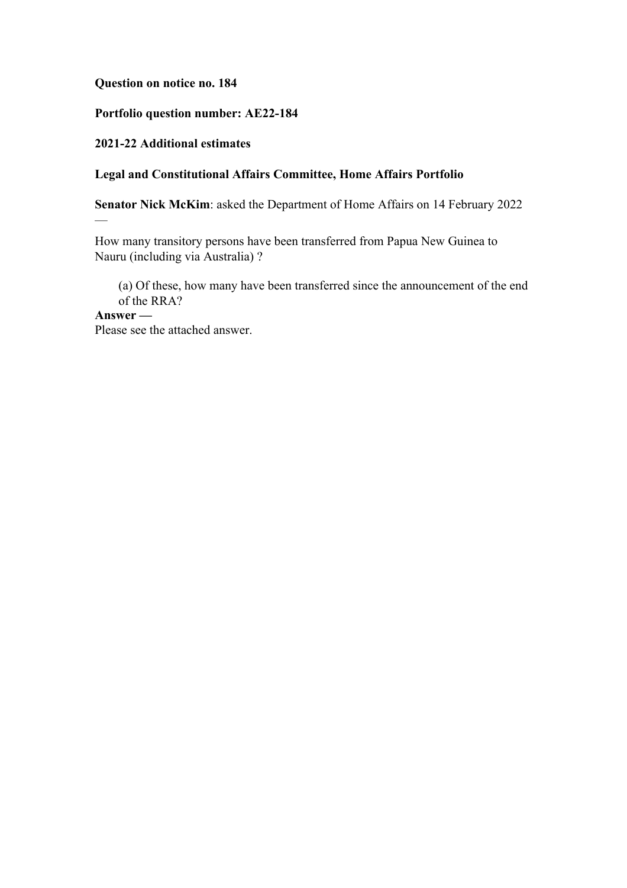**Question on notice no. 184**

#### **Portfolio question number: AE22-184**

#### **2021-22 Additional estimates**

#### **Legal and Constitutional Affairs Committee, Home Affairs Portfolio**

**Senator Nick McKim**: asked the Department of Home Affairs on 14 February 2022

How many transitory persons have been transferred from Papua New Guinea to Nauru (including via Australia) ?

(a) Of these, how many have been transferred since the announcement of the end of the RRA?

# **Answer —**

—

Please see the attached answer.